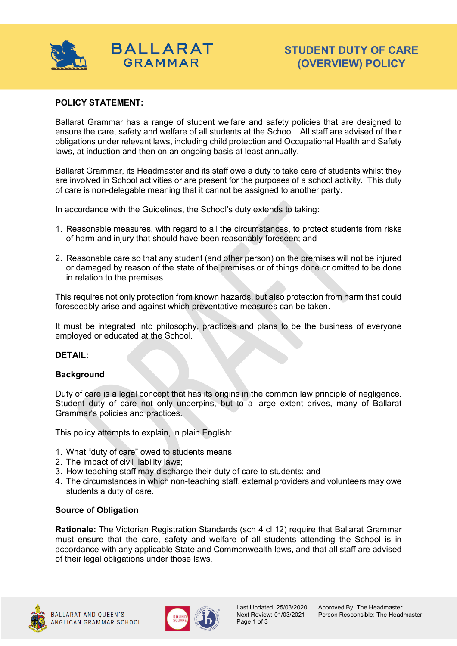

## **POLICY STATEMENT:**

Ballarat Grammar has a range of student welfare and safety policies that are designed to ensure the care, safety and welfare of all students at the School. All staff are advised of their obligations under relevant laws, including child protection and Occupational Health and Safety laws, at induction and then on an ongoing basis at least annually.

Ballarat Grammar, its Headmaster and its staff owe a duty to take care of students whilst they are involved in School activities or are present for the purposes of a school activity. This duty of care is non-delegable meaning that it cannot be assigned to another party.

In accordance with the Guidelines, the School's duty extends to taking:

- 1. Reasonable measures, with regard to all the circumstances, to protect students from risks of harm and injury that should have been reasonably foreseen; and
- 2. Reasonable care so that any student (and other person) on the premises will not be injured or damaged by reason of the state of the premises or of things done or omitted to be done in relation to the premises.

This requires not only protection from known hazards, but also protection from harm that could foreseeably arise and against which preventative measures can be taken.

It must be integrated into philosophy, practices and plans to be the business of everyone employed or educated at the School.

## **DETAIL:**

## **Background**

Duty of care is a legal concept that has its origins in the common law principle of negligence. Student duty of care not only underpins, but to a large extent drives, many of Ballarat Grammar's policies and practices.

This policy attempts to explain, in plain English:

- 1. What "duty of care" owed to students means;
- 2. The impact of civil liability laws;
- 3. How teaching staff may discharge their duty of care to students; and
- 4. The circumstances in which non-teaching staff, external providers and volunteers may owe students a duty of care.

## **Source of Obligation**

**Rationale:** The Victorian Registration Standards (sch 4 cl 12) require that Ballarat Grammar must ensure that the care, safety and welfare of all students attending the School is in accordance with any applicable State and Commonwealth laws, and that all staff are advised of their legal obligations under those laws.



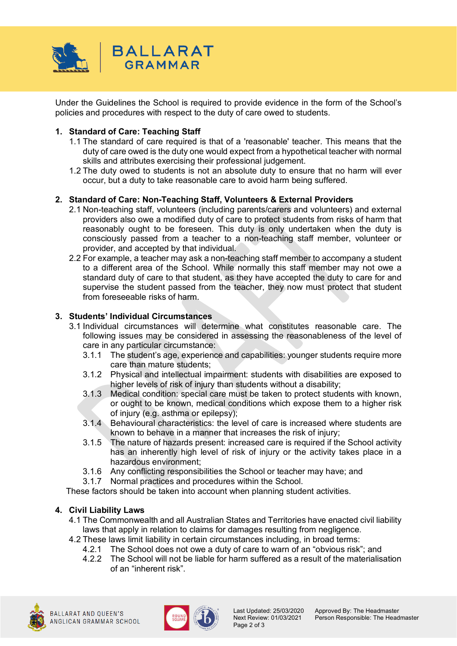

Under the Guidelines the School is required to provide evidence in the form of the School's policies and procedures with respect to the duty of care owed to students.

## **1. Standard of Care: Teaching Staff**

- 1.1 The standard of care required is that of a 'reasonable' teacher. This means that the duty of care owed is the duty one would expect from a hypothetical teacher with normal skills and attributes exercising their professional judgement.
- 1.2 The duty owed to students is not an absolute duty to ensure that no harm will ever occur, but a duty to take reasonable care to avoid harm being suffered.

## **2. Standard of Care: Non-Teaching Staff, Volunteers & External Providers**

- 2.1 Non-teaching staff, volunteers (including parents/carers and volunteers) and external providers also owe a modified duty of care to protect students from risks of harm that reasonably ought to be foreseen. This duty is only undertaken when the duty is consciously passed from a teacher to a non-teaching staff member, volunteer or provider, and accepted by that individual.
- 2.2 For example, a teacher may ask a non-teaching staff member to accompany a student to a different area of the School. While normally this staff member may not owe a standard duty of care to that student, as they have accepted the duty to care for and supervise the student passed from the teacher, they now must protect that student from foreseeable risks of harm.

## **3. Students' Individual Circumstances**

- 3.1 Individual circumstances will determine what constitutes reasonable care. The following issues may be considered in assessing the reasonableness of the level of care in any particular circumstance:
	- 3.1.1 The student's age, experience and capabilities: younger students require more care than mature students;
	- 3.1.2 Physical and intellectual impairment: students with disabilities are exposed to higher levels of risk of injury than students without a disability;
	- 3.1.3 Medical condition: special care must be taken to protect students with known, or ought to be known, medical conditions which expose them to a higher risk of injury (e.g. asthma or epilepsy);
	- 3.1.4 Behavioural characteristics: the level of care is increased where students are known to behave in a manner that increases the risk of injury;
	- 3.1.5 The nature of hazards present: increased care is required if the School activity has an inherently high level of risk of injury or the activity takes place in a hazardous environment;
	- 3.1.6 Any conflicting responsibilities the School or teacher may have; and
	- 3.1.7 Normal practices and procedures within the School.

These factors should be taken into account when planning student activities.

# **4. Civil Liability Laws**

- 4.1 The Commonwealth and all Australian States and Territories have enacted civil liability laws that apply in relation to claims for damages resulting from negligence.
- 4.2 These laws limit liability in certain circumstances including, in broad terms:
	- 4.2.1 The School does not owe a duty of care to warn of an "obvious risk"; and
	- 4.2.2 The School will not be liable for harm suffered as a result of the materialisation of an "inherent risk".





Page 2 of 3